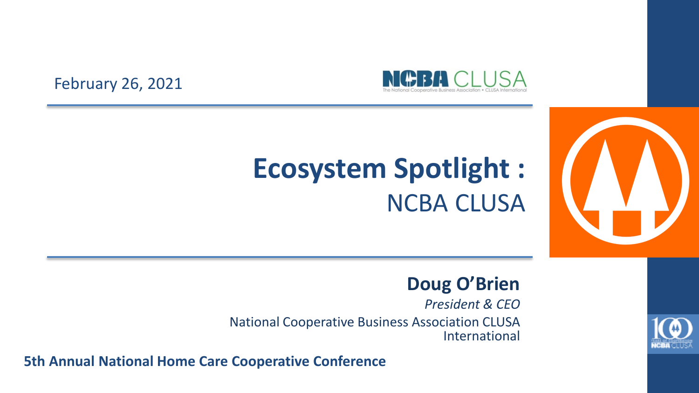

#### February 26, 2021

### **Ecosystem Spotlight :**  NCBA CLUSA



#### **Doug O'Brien**

*President & CEO*

National Cooperative Business Association CLUSA International

**5th Annual National Home Care Cooperative Conference** 

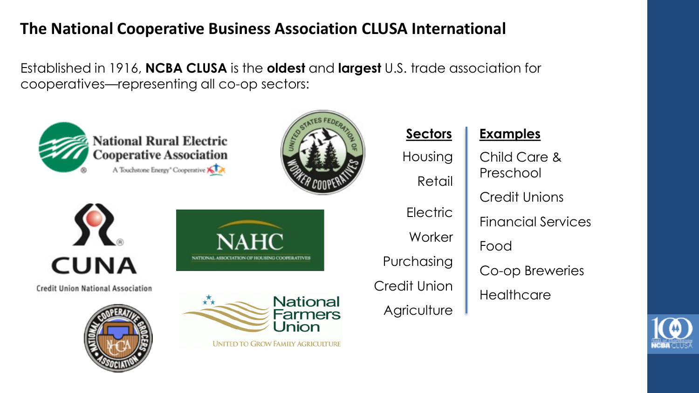#### **The National Cooperative Business Association CLUSA International**

Established in 1916, **NCBA CLUSA** is the **oldest** and **largest** U.S. trade association for cooperatives—representing all co-op sectors:



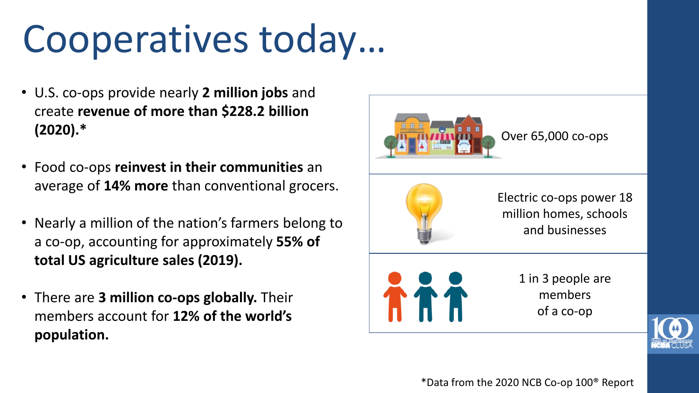## Cooperatives today…

- U.S. co-ops provide nearly **2 million jobs** and create **revenue of more than \$228.2 billion (2020).\***
- Food co-ops **reinvest in their communities** an average of **14% more** than conventional grocers.
- Nearly a million of the nation's farmers belong to a co-op, accounting for approximately **55% of total US agriculture sales (2019).**
- There are **3 million co-ops globally.** Their members account for **12% of the world's population.**



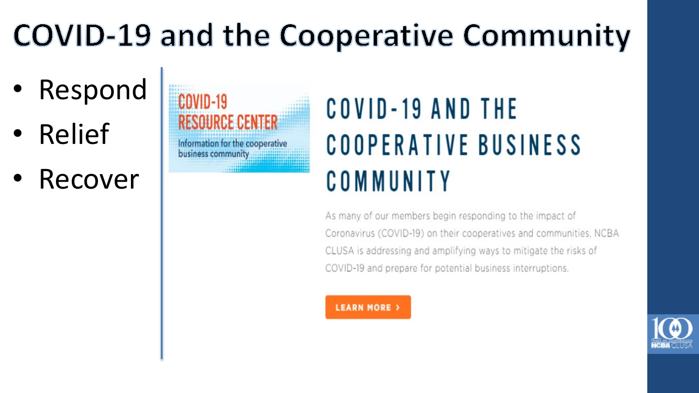## **COVID-19 and the Cooperative Community**

- **Respond**
- Relief
- **Recover**



### **COVID-19 AND THE** COOPERATIVE BUSINESS COMMUNITY

As many of our members begin responding to the impact of Coronavirus (COVID-19) on their cooperatives and communities, NCBA CLUSA is addressing and amplifying ways to mitigate the risks of COVID-19 and prepare for potential business interruptions.

**LEARN MORE** >

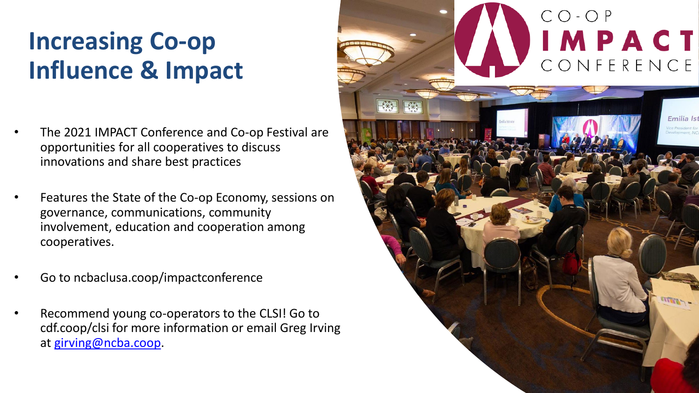### **Increasing Co-op Influence & Impact**

- The 2021 IMPACT Conference and Co-op Festival are opportunities for all cooperatives to discuss innovations and share best practices
- Features the State of the Co-op Economy, sessions on governance, communications, community involvement, education and cooperation among cooperatives.
- Go to ncbaclusa.coop/impactconference
- Recommend young co-operators to the CLSI! Go to cdf.coop/clsi for more information or email Greg Irving at [girving@ncba.coop.](mailto:girving@ncba.coop)